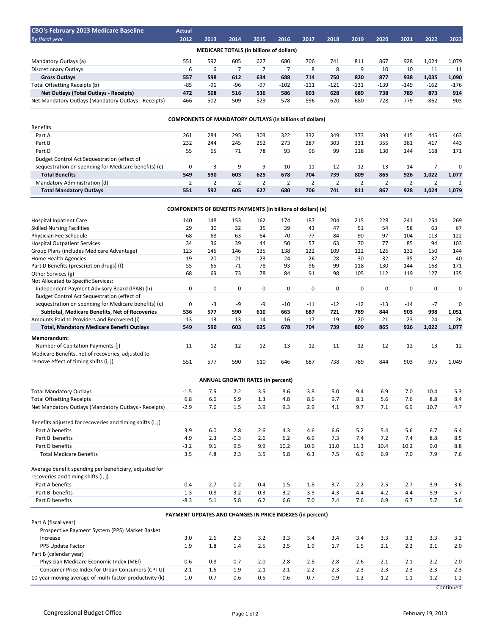| <b>CBO's February 2013 Medicare Baseline</b>         | <b>Actual</b> |       |       |       |        |        |        |        |        |        |        |        |
|------------------------------------------------------|---------------|-------|-------|-------|--------|--------|--------|--------|--------|--------|--------|--------|
| <b>By fiscal year</b>                                | 2012          | 2013  | 2014  | 2015  | 2016   | 2017   | 2018   | 2019   | 2020   | 2021   | 2022   | 2023   |
| <b>MEDICARE TOTALS (in billions of dollars)</b>      |               |       |       |       |        |        |        |        |        |        |        |        |
| Mandatory Outlays (a)                                | 551           | 592   | 605   | 627   | 680    | 706    | 741    | 811    | 867    | 928    | 1.024  | 1,079  |
| Discretionary Outlays                                | ь             | 6     |       |       |        | 8      | 8      | 9      | 10     | 10     | 11     | 11     |
| <b>Gross Outlays</b>                                 | 557           | 598   | 612   | 634   | 688    | 714    | 750    | 820    | 877    | 938    | 1,035  | 1,090  |
| Total Offsetting Receipts (b)                        | $-85$         | $-91$ | $-96$ | $-97$ | $-102$ | $-111$ | $-121$ | $-131$ | $-139$ | $-149$ | $-162$ | $-176$ |
| Net Outlays (Total Outlays - Receipts)               | 472           | 508   | 516   | 536   | 586    | 603    | 628    | 689    | 738    | 789    | 873    | 914    |
| Net Mandatory Outlays (Mandatory Outlays - Receipts) | 466           | 502   | 509   | 529   | 578    | 596    | 620    | 680    | 728    | 779    | 862    | 903    |

## **COMPONENTS OF MANDATORY OUTLAYS (in billions of dollars)**

| <b>Benefits</b>                                      |     |     |     |     |       |       |       |       |       |       |       |       |
|------------------------------------------------------|-----|-----|-----|-----|-------|-------|-------|-------|-------|-------|-------|-------|
| Part A                                               | 261 | 284 | 295 | 303 | 322   | 332   | 349   | 373   | 393   | 415   | 445   | 463   |
| Part B                                               | 232 | 244 | 245 | 252 | 273   | 287   | 303   | 331   | 355   | 381   | 417   | 443   |
| Part D                                               | 55  | 65  | 71  | 78  | 93    | 96    | 99    | 118   | 130   | 144   | 168   | 171   |
| Budget Control Act Sequestration (effect of          |     |     |     |     |       |       |       |       |       |       |       |       |
| sequestration on spending for Medicare benefits) (c) | 0   | -3  | -9  | -9  | $-10$ | $-11$ | $-12$ | $-12$ | $-13$ | $-14$ | $-1$  | 0     |
| <b>Total Benefits</b>                                | 549 | 590 | 603 | 625 | 678   | 704   | 739   | 809   | 865   | 926   | 1.022 | 1,077 |
| Mandatory Administration (d)                         |     |     |     |     |       |       |       |       |       |       |       |       |
| <b>Total Mandatory Outlays</b>                       | 551 | 592 | 605 | 627 | 680   | 706   | 741   | 811   | 867   | 928   | 1.024 | 1,079 |

## **COMPONENTS OF BENEFITS PAYMENTS (in billions of dollars) (e)**

| <b>Hospital Inpatient Care</b>                            | 140                                                       | 148                                     | 153    | 162         | 174   | 187         | 204         | 215         | 228         | 241         | 254         | 269         |
|-----------------------------------------------------------|-----------------------------------------------------------|-----------------------------------------|--------|-------------|-------|-------------|-------------|-------------|-------------|-------------|-------------|-------------|
| <b>Skilled Nursing Facilities</b>                         | 29                                                        | 30                                      | 32     | 35          | 39    | 43          | 47          | 51          | 54          | 58          | 63          | 67          |
| Physician Fee Schedule                                    | 68                                                        | 68                                      | 63     | 64          | 70    | 77          | 84          | 90          | 97          | 104         | 113         | 122         |
| <b>Hospital Outpatient Services</b>                       | 34                                                        | 36                                      | 39     | 44          | 50    | 57          | 63          | 70          | 77          | 85          | 94          | 103         |
| Group Plans (includes Medicare Advantage)                 | 123                                                       | 145                                     | 146    | 135         | 138   | 122         | 109         | 122         | 126         | 132         | 150         | 144         |
| Home Health Agencies                                      | 19                                                        | 20                                      | 21     | 23          | 24    | 26          | 28          | 30          | 32          | 35          | 37          | 40          |
| Part D Benefits (prescription drugs) (f)                  | 55                                                        | 65                                      | 71     | 78          | 93    | 96          | 99          | 118         | 130         | 144         | 168         | 171         |
| Other Services (g)                                        | 68                                                        | 69                                      | 73     | 78          | 84    | 91          | 98          | 105         | 112         | 119         | 127         | 135         |
| Not Allocated to Specific Services:                       |                                                           |                                         |        |             |       |             |             |             |             |             |             |             |
| Independent Payment Advisory Board (IPAB) (h)             | $\mathbf 0$                                               | $\mathbf 0$                             | 0      | $\mathbf 0$ | 0     | $\mathbf 0$ | $\mathbf 0$ | $\mathbf 0$ | $\mathbf 0$ | $\mathbf 0$ | $\mathbf 0$ | $\mathbf 0$ |
| Budget Control Act Sequestration (effect of               |                                                           |                                         |        |             |       |             |             |             |             |             |             |             |
| sequestration on spending for Medicare benefits) (c)      | 0                                                         | -3                                      | -9     | -9          | $-10$ | $-11$       | $-12$       | $-12$       | $-13$       | $-14$       | $-7$        | $\mathbf 0$ |
| Subtotal, Medicare Benefits, Net of Recoveries            | 536                                                       | 577                                     | 590    | 610         | 663   | 687         | 721         | 789         | 844         | 903         | 998         | 1,051       |
| Amounts Paid to Providers and Recovered (i)               | 13                                                        | 13                                      | 13     | 14          | 16    | 17          | 19          | 20          | 21          | 23          | 24          | 26          |
| <b>Total, Mandatory Medicare Benefit Outlays</b>          | 549                                                       | 590                                     | 603    | 625         | 678   | 704         | 739         | 809         | 865         | 926         | 1,022       | 1,077       |
| Memorandum:                                               |                                                           |                                         |        |             |       |             |             |             |             |             |             |             |
| Number of Capitation Payments (i)                         | 11                                                        | 12                                      | 12     | 12          | 13    | 12          | 11          | 12          | 12          | 12          | 13          | 12          |
| Medicare Benefits, net of recoveries, adjusted to         |                                                           |                                         |        |             |       |             |             |             |             |             |             |             |
| remove effect of timing shifts (i, j)                     | 551                                                       | 577                                     | 590    | 610         | 646   | 687         | 738         | 789         | 844         | 903         | 975         | 1,049       |
|                                                           |                                                           | <b>ANNUAL GROWTH RATES (in percent)</b> |        |             |       |             |             |             |             |             |             |             |
|                                                           |                                                           |                                         |        |             |       |             |             |             |             |             |             |             |
| <b>Total Mandatory Outlays</b>                            | $-1.5$                                                    | 7.5                                     | 2.2    | 3.5         | 8.6   | 3.8         | 5.0         | 9.4         | 6.9         | 7.0         | 10.4        | 5.3         |
| <b>Total Offsetting Receipts</b>                          | 6.8                                                       | 6.6                                     | 5.9    | 1.3         | 4.8   | 8.6         | 9.7         | 8.1         | 5.6         | 7.6         | 8.8         | 8.4         |
| Net Mandatory Outlays (Mandatory Outlays - Receipts)      | $-2.9$                                                    | 7.6                                     | 1.5    | 3.9         | 9.3   | 2.9         | 4.1         | 9.7         | 7.1         | 6.9         | 10.7        | 4.7         |
| Benefits adjusted for recoveries and timing shifts (i, j) |                                                           |                                         |        |             |       |             |             |             |             |             |             |             |
| Part A benefits                                           | 3.9                                                       | 6.0                                     | 2.8    | 2.6         | 4.3   | 4.6         | 6.6         | 5.2         | 5.4         | 5.6         | 6.7         | 6.4         |
| Part B benefits                                           | 4.9                                                       | 2.3                                     | $-0.3$ | 2.6         | $6.2$ | 6.9         | 7.3         | 7.4         | 7.2         | 7.4         | 8.8         | 8.5         |
| Part D benefits                                           | $-3.2$                                                    | 9.1                                     | 9.5    | 9.9         | 10.2  | 10.6        | 11.0        | 11.3        | 10.4        | 10.2        | 9.0         | 8.8         |
| <b>Total Medicare Benefits</b>                            | 3.5                                                       | 4.8                                     | 2.3    | 3.5         | 5.8   | 6.3         | 7.5         | 6.9         | 6.9         | 7.0         | 7.9         | 7.6         |
| Average benefit spending per beneficiary, adjusted for    |                                                           |                                         |        |             |       |             |             |             |             |             |             |             |
| recoveries and timing shifts (i, j)                       |                                                           |                                         |        |             |       |             |             |             |             |             |             |             |
| Part A benefits                                           | 0.4                                                       | 2.7                                     | $-0.2$ | $-0.4$      | 1.5   | 1.8         | 3.7         | 2.2         | 2.5         | 2.7         | 3.9         | 3.6         |
| Part B benefits                                           | 1.3                                                       | $-0.8$                                  | $-3.2$ | $-0.3$      | 3.2   | 3.9         | 4.3         | 4.4         | 4.2         | 4.4         | 5.9         | 5.7         |
| Part D benefits                                           | $-8.3$                                                    | 5.1                                     | 5.8    | 6.2         | 6.6   | 7.0         | 7.4         | 7.6         | 6.9         | 6.7         | 5.7         | 5.6         |
|                                                           | PAYMENT UPDATES AND CHANGES IN PRICE INDEXES (in percent) |                                         |        |             |       |             |             |             |             |             |             |             |
| Part A (fiscal year)                                      |                                                           |                                         |        |             |       |             |             |             |             |             |             |             |
| Prospective Payment System (PPS) Market Basket            |                                                           |                                         |        |             |       |             |             |             |             |             |             |             |
| Increase                                                  | 3.0                                                       | 2.6                                     | 2.3    | 3.2         | 3.3   | 3.4         | 3.4         | 3.4         | 3.3         | 3.3         | 3.3         | 3.2         |
| PPS Update Factor                                         | 1.9                                                       | 1.8                                     | 1.4    | 2.5         | 2.5   | 1.9         | 1.7         | 1.5         | 2.1         | 2.2         | 2.1         | 2.0         |
| Part B (calendar year)                                    |                                                           |                                         |        |             |       |             |             |             |             |             |             |             |
| Physician Medicare Economic Index (MEI)                   | 0.6                                                       | 0.8                                     | 0.7    | 2.0         | 2.8   | 2.8         | 2.8         | 2.6         | 2.1         | 2.1         | 2.2         | 2.0         |
| Consumer Price Index for Urban Consumers (CPI-U)          | 2.1                                                       | 1.6                                     | 1.9    | 2.1         | 2.1   | 2.2         | 2.3         | 2.3         | 2.3         | 2.3         | 2.3         | 2.3         |
| 10-year moving average of multi-factor productivity (k)   | 1.0                                                       | 0.7                                     | 0.6    | 0.5         | 0.6   | 0.7         | 0.9         | 1.2         | 1.2         | 1.1         | 1.2         | 1.2         |